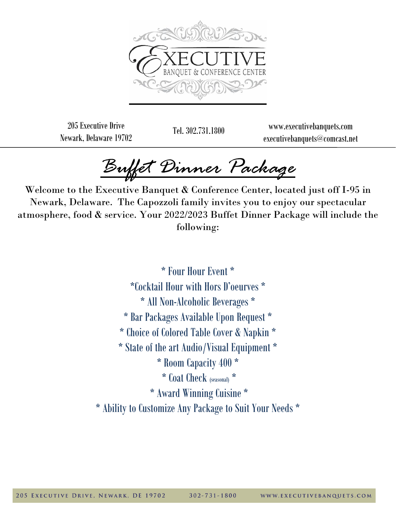

205 Executive Drive Newark, Delaware 19702

Tel. 302.731.1800 www.executivebanquets.com executivebanquets@comcast.net

*Buffet Dinner Package* 

Welcome to the Executive Banquet & Conference Center, located just off I-95 in Newark, Delaware. The Capozzoli family invites you to enjoy our spectacular atmosphere, food & service. Your 2022/2023 Buffet Dinner Package will include the following:

> \* Four Hour Event \* \*Cocktail Hour with Hors D'oeurves \* \* All Non-Alcoholic Beverages \* \* Bar Packages Available Upon Request \* \* Choice of Colored Table Cover & Napkin \* \* State of the art Audio/Visual Equipment \* \* Room Capacity 400 \* \* Coat Check (seasonal) \* \* Award Winning Cuisine \* \* Ability to Customize Any Package to Suit Your Needs \*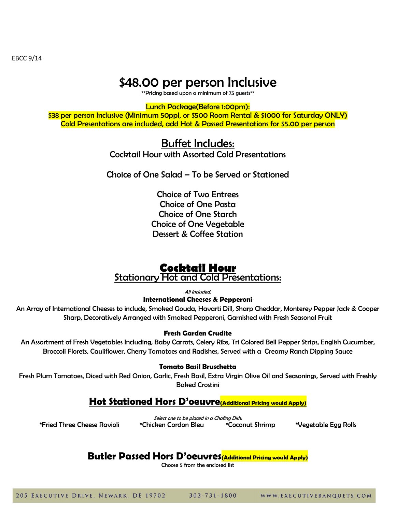EBCC 9/14

# \$48.00 per person Inclusive

\*\*Pricing based upon a minimum of 75 guests\*\*

Lunch Package(Before 1:00pm):

\$38 per person Inclusive (Minimum 50ppl, or \$500 Room Rental & \$1000 for Saturday ONLY) Cold Presentations are included, add Hot & Passed Presentations for \$5.00 per person

## Buffet Includes:

Cocktail Hour with Assorted Cold Presentations

Choice of One Salad – To be Served or Stationed

Choice of Two Entrees Choice of One Pasta Choice of One Starch Choice of One Vegetable Dessert & Coffee Station

## **Cocktail Hour** Stationary Hot and Cold Presentations:

All Included:

**International Cheeses & Pepperoni**

An Array of International Cheeses to include, Smoked Gouda, Havarti Dill, Sharp Cheddar, Monterey Pepper Jack & Cooper Sharp, Decoratively Arranged with Smoked Pepperoni, Garnished with Fresh Seasonal Fruit

## **Fresh Garden Crudite**

An Assortment of Fresh Vegetables Including, Baby Carrots, Celery Ribs, Tri Colored Bell Pepper Strips, English Cucumber, Broccoli Florets, Cauliflower, Cherry Tomatoes and Radishes, Served with a Creamy Ranch Dipping Sauce

## **Tomato Basil Bruschetta**

Fresh Plum Tomatoes, Diced with Red Onion, Garlic, Fresh Basil, Extra Virgin Olive Oil and Seasonings, Served with Freshly Baked Crostini

## **Hot Stationed Hors D'oeuvre(Additional Pricing would Apply)**

Select one to be placed in a Chafing Dish: \*Fried Three Cheese Ravioli \*Chicken Cordon Bleu \*Coconut Shrimp \*Vegetable Egg Rolls

# **Butler Passed Hors D'oeuvres(Additional Pricing would Apply)**

Choose 5 from the enclosed list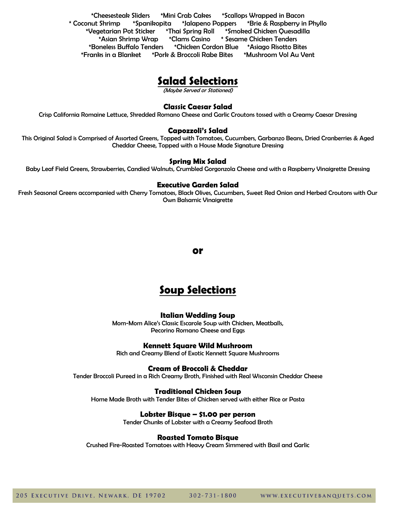\*Cheesesteak Sliders \*Mini Crab Cakes \*Scallops Wrapped in Bacon \* Coconut Shrimp \*Spanikopita \*Jalapeno Poppers \*Brie & Raspberry in Phyllo \*Vegetarian Pot Sticker \*Thai Spring Roll \*Smoked Chicken Quesadilla \*Asian Shrimp Wrap \*Clams Casino \* Sesame Chicken Tenders \*Boneless Buffalo Tenders \*Chicken Cordon Blue \*Asiago Risotto Bites \*Franks in a Blanket \*Pork & Broccoli Rabe Bites \*Mushroom Vol Au Vent

## **Salad Selections**

(Maybe Served or Stationed)

#### **Classic Caesar Salad**

Crisp California Romaine Lettuce, Shredded Romano Cheese and Garlic Croutons tossed with a Creamy Caesar Dressing

#### **Capozzoli's Salad**

This Original Salad is Comprised of Assorted Greens, Topped with Tomatoes, Cucumbers, Garbanzo Beans, Dried Cranberries & Aged Cheddar Cheese, Topped with a House Made Signature Dressing

#### **Spring Mix Salad**

Baby Leaf Field Greens, Strawberries, Candied Walnuts, Crumbled Gorgonzola Cheese and with a Raspberry Vinaigrette Dressing

#### **Executive Garden Salad**

Fresh Seasonal Greens accompanied with Cherry Tomatoes, Black Olives, Cucumbers, Sweet Red Onion and Herbed Croutons with Our Own Balsamic Vinaigrette

**or**

# **Soup Selections**

#### **Italian Wedding Soup**

Mom-Mom Alice's Classic Escarole Soup with Chicken, Meatballs, Pecorino Romano Cheese and Eggs

#### **Kennett Square Wild Mushroom**

Rich and Creamy Blend of Exotic Kennett Square Mushrooms

#### **Cream of Broccoli & Cheddar**

Tender Broccoli Pureed in a Rich Creamy Broth, Finished with Real Wisconsin Cheddar Cheese

#### **Traditional Chicken Soup**

Home Made Broth with Tender Bites of Chicken served with either Rice or Pasta

#### **Lobster Bisque – \$1.00 per person**

Tender Chunks of Lobster with a Creamy Seafood Broth

#### **Roasted Tomato Bisque**

Crushed Fire-Roasted Tomatoes with Heavy Cream Simmered with Basil and Garlic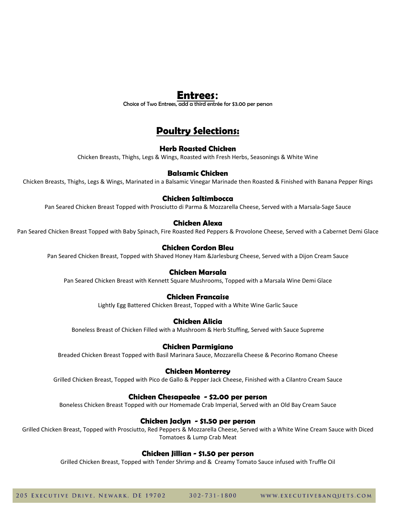## **Entrees:**

Choice of Two Entrees, add a third entrée for \$3.00 per person

# **Poultry Selections:**

## **Herb Roasted Chicken**

Chicken Breasts, Thighs, Legs & Wings, Roasted with Fresh Herbs, Seasonings & White Wine

## **Balsamic Chicken**

Chicken Breasts, Thighs, Legs & Wings, Marinated in a Balsamic Vinegar Marinade then Roasted & Finished with Banana Pepper Rings

## **Chicken Saltimbocca**

Pan Seared Chicken Breast Topped with Prosciutto di Parma & Mozzarella Cheese, Served with a Marsala-Sage Sauce

## **Chicken Alexa**

Pan Seared Chicken Breast Topped with Baby Spinach, Fire Roasted Red Peppers & Provolone Cheese, Served with a Cabernet Demi Glace

## **Chicken Cordon Bleu**

Pan Seared Chicken Breast, Topped with Shaved Honey Ham &Jarlesburg Cheese, Served with a Dijon Cream Sauce

## **Chicken Marsala**

Pan Seared Chicken Breast with Kennett Square Mushrooms, Topped with a Marsala Wine Demi Glace

### **Chicken Francaise**

Lightly Egg Battered Chicken Breast, Topped with a White Wine Garlic Sauce

## **Chicken Alicia**

Boneless Breast of Chicken Filled with a Mushroom & Herb Stuffing, Served with Sauce Supreme

### **Chicken Parmigiano**

Breaded Chicken Breast Topped with Basil Marinara Sauce, Mozzarella Cheese & Pecorino Romano Cheese

#### **Chicken Monterrey**

Grilled Chicken Breast, Topped with Pico de Gallo & Pepper Jack Cheese, Finished with a Cilantro Cream Sauce

### **Chicken Chesapeake - \$2.00 per person**

Boneless Chicken Breast Topped with our Homemade Crab Imperial, Served with an Old Bay Cream Sauce

### **Chicken Jaclyn - \$1.50 per person**

Grilled Chicken Breast, Topped with Prosciutto, Red Peppers & Mozzarella Cheese, Served with a White Wine Cream Sauce with Diced Tomatoes & Lump Crab Meat

### **Chicken Jillian - \$1.50 per person**

Grilled Chicken Breast, Topped with Tender Shrimp and & Creamy Tomato Sauce infused with Truffle Oil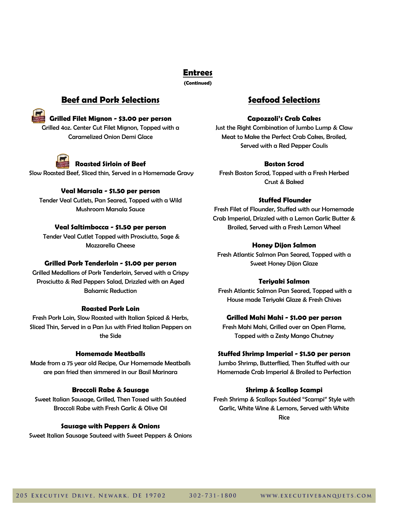**Entrees**

**(Continued)**

## **Beef and Pork Selections**

**Grilled Filet Mignon - \$3.00 per person**

Grilled 4oz. Center Cut Filet Mignon, Topped with a Caramelized Onion Demi Glace



## **Roasted Sirloin of Beef**

Slow Roasted Beef, Sliced thin, Served in a Homemade Gravy

## **Veal Marsala - \$1.50 per person**

Tender Veal Cutlets, Pan Seared, Topped with a Wild Mushroom Marsala Sauce

## **Veal Saltimbocca - \$1.50 per person**

Tender Veal Cutlet Topped with Prosciutto, Sage & Mozzarella Cheese

### **Grilled Pork Tenderloin - \$1.00 per person**

Grilled Medallions of Pork Tenderloin, Served with a Crispy Prosciutto & Red Peppers Salad, Drizzled with an Aged Balsamic Reduction

### **Roasted Pork Loin**

Fresh Pork Loin, Slow Roasted with Italian Spiced & Herbs, Sliced Thin, Served in a Pan Jus with Fried Italian Peppers on the Side

### **Homemade Meatballs**

Made from a 75 year old Recipe, Our Homemade Meatballs are pan fried then simmered in our Basil Marinara

## **Broccoli Rabe & Sausage**

Sweet Italian Sausage, Grilled, Then Tossed with Sautéed Broccoli Rabe with Fresh Garlic & Olive Oil

## **Sausage with Peppers & Onions**

Sweet Italian Sausage Sauteed with Sweet Peppers & Onions

## **Seafood Selections**

### **Capozzoli's Crab Cakes**

Just the Right Combination of Jumbo Lump & Claw Meat to Make the Perfect Crab Cakes, Broiled, Served with a Red Pepper Coulis

## **Boston Scrod**

Fresh Boston Scrod, Topped with a Fresh Herbed Crust & Baked

## **Stuffed Flounder**

Fresh Filet of Flounder, Stuffed with our Homemade Crab Imperial, Drizzled with a Lemon Garlic Butter & Broiled, Served with a Fresh Lemon Wheel

## **Honey Dijon Salmon**

Fresh Atlantic Salmon Pan Seared, Topped with a Sweet Honey Dijon Glaze

## **Teriyaki Salmon**

Fresh Atlantic Salmon Pan Seared, Topped with a House made Teriyaki Glaze & Fresh Chives

## **Grilled Mahi Mahi - \$1.00 per person**

Fresh Mahi Mahi, Grilled over an Open Flame, Topped with a Zesty Mango Chutney

## **Stuffed Shrimp Imperial - \$1.50 per person**

Jumbo Shrimp, Butterflied, Then Stuffed with our Homemade Crab Imperial & Broiled to Perfection

## **Shrimp & Scallop Scampi**

Fresh Shrimp & Scallops Sautéed "Scampi" Style with Garlic, White Wine & Lemons, Served with White Rice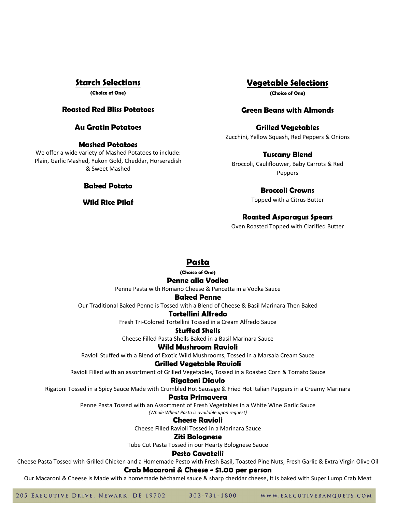## **Starch Selections**

**(Choice of One)** 

### **Roasted Red Bliss Potatoes**

## **Au Gratin Potatoes**

#### **Mashed Potatoes**

We offer a wide variety of Mashed Potatoes to include: Plain, Garlic Mashed, Yukon Gold, Cheddar, Horseradish & Sweet Mashed

### **Baked Potato**

#### **Wild Rice Pilaf**

## **Vegetable Selections**

**(Choice of One)** 

### **Green Beans with Almonds**

### **Grilled Vegetables**

Zucchini, Yellow Squash, Red Peppers & Onions

## **Tuscany Blend**

Broccoli, Cauliflouwer, Baby Carrots & Red Peppers

#### **Broccoli Crowns**

Topped with a Citrus Butter

## **Roasted Asparagus Spears**

Oven Roasted Topped with Clarified Butter

## **Pasta**

**(Choice of One)** 

### **Penne alla Vodka**

Penne Pasta with Romano Cheese & Pancetta in a Vodka Sauce

#### **Baked Penne**

Our Traditional Baked Penne is Tossed with a Blend of Cheese & Basil Marinara Then Baked

#### **Tortellini Alfredo**

Fresh Tri-Colored Tortellini Tossed in a Cream Alfredo Sauce

### **Stuffed Shells**

Cheese Filled Pasta Shells Baked in a Basil Marinara Sauce

#### **Wild Mushroom Ravioli**

Ravioli Stuffed with a Blend of Exotic Wild Mushrooms, Tossed in a Marsala Cream Sauce

#### **Grilled Vegetable Ravioli**

Ravioli Filled with an assortment of Grilled Vegetables, Tossed in a Roasted Corn & Tomato Sauce

#### **Rigatoni Diavlo**

Rigatoni Tossed in a Spicy Sauce Made with Crumbled Hot Sausage & Fried Hot Italian Peppers in a Creamy Marinara

#### **Pasta Primavera**

Penne Pasta Tossed with an Assortment of Fresh Vegetables in a White Wine Garlic Sauce

*(Whole Wheat Pasta is available upon request)*

## **Cheese Ravioli**

Cheese Filled Ravioli Tossed in a Marinara Sauce

#### **Ziti Bolognese**

Tube Cut Pasta Tossed in our Hearty Bolognese Sauce

#### **Pesto Cavatelli**

Cheese Pasta Tossed with Grilled Chicken and a Homemade Pesto with Fresh Basil, Toasted Pine Nuts, Fresh Garlic & Extra Virgin Olive Oil

#### **Crab Macaroni & Cheese - \$1.00 per person**

Our Macaroni & Cheese is Made with a homemade béchamel sauce & sharp cheddar cheese, It is baked with Super Lump Crab Meat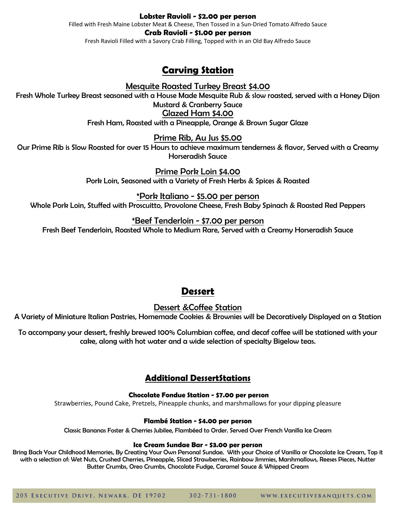#### **Lobster Ravioli - \$2.00 per person**

Filled with Fresh Maine Lobster Meat & Cheese, Then Tossed in a Sun-Dried Tomato Alfredo Sauce

#### **Crab Ravioli - \$1.00 per person**

Fresh Ravioli Filled with a Savory Crab Filling, Topped with in an Old Bay Alfredo Sauce

## **Carving Station**

Mesquite Roasted Turkey Breast \$4.00

Fresh Whole Turkey Breast seasoned with a House Made Mesquite Rub & slow roasted, served with a Honey Dijon Mustard & Cranberry Sauce Glazed Ham \$4.00

Fresh Ham, Roasted with a Pineapple, Orange & Brown Sugar Glaze

## Prime Rib, Au Jus \$5.00

Our Prime Rib is Slow Roasted for over 15 Hours to achieve maximum tenderness & flavor, Served with a Creamy Horseradish Sauce

> Prime Pork Loin \$4.00 Pork Loin, Seasoned with a Variety of Fresh Herbs & Spices & Roasted

\*Pork Italiano - \$5.00 per person Whole Pork Loin, Stuffed with Proscuitto, Provolone Cheese, Fresh Baby Spinach & Roasted Red Peppers

## \*Beef Tenderloin - \$7.00 per person

Fresh Beef Tenderloin, Roasted Whole to Medium Rare, Served with a Creamy Horseradish Sauce

## **Dessert**

Dessert &Coffee Station

A Variety of Miniature Italian Pastries, Homemade Cookies & Brownies will be Decoratively Displayed on a Station

To accompany your dessert, freshly brewed 100% Columbian coffee, and decaf coffee will be stationed with your cake, along with hot water and a wide selection of specialty Bigelow teas.

## **Additional DessertStations**

## **Chocolate Fondue Station - \$7.00 per person**

Strawberries, Pound Cake, Pretzels, Pineapple chunks, and marshmallows for your dipping pleasure

### **Flambé Station - \$4.00 per person**

Classic Bananas Foster & Cherries Jubilee, Flambéed to Order. Served Over French Vanilla Ice Cream

### **Ice Cream Sundae Bar - \$3.00 per person**

Bring Back Your Childhood Memories, By Creating Your Own Personal Sundae. With your Choice of Vanilla or Chocolate Ice Cream, Top it with a selection of: Wet Nuts, Crushed Cherries, Pineapple, Sliced Strawberries, Rainbow Jimmies, Marshmallows, Reeses Pieces, Nutter Butter Crumbs, Oreo Crumbs, Chocolate Fudge, Caramel Sauce & Whipped Cream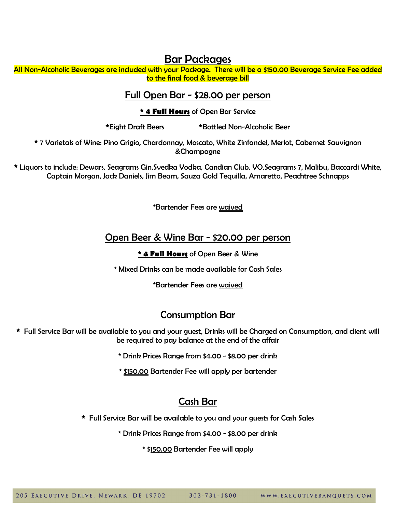# Bar Packages

All Non-Alcoholic Beverages are included with your Package. There will be a \$150.00 Beverage Service Fee added to the final food & beverage bill

## Full Open Bar - \$28.00 per person

**\* 4 Full Hours** of Open Bar Service

**\***Eight Draft Beers **\***Bottled Non-Alcoholic Beer

**\*** 7 Varietals of Wine: Pino Grigio, Chardonnay, Moscato, White Zinfandel, Merlot, Cabernet Sauvignon &Champagne

**\*** Liquors to include: Dewars, Seagrams Gin,Svedka Vodka, Candian Club, VO,Seagrams 7, Malibu, Baccardi White, Captain Morgan, Jack Daniels, Jim Beam, Sauza Gold Tequilla, Amaretto, Peachtree Schnapps

\*Bartender Fees are waived

## Open Beer & Wine Bar - \$20.00 per person

## **\* 4 Full Hours** of Open Beer & Wine

\* Mixed Drinks can be made available for Cash Sales

\*Bartender Fees are waived

# Consumption Bar

**\*** Full Service Bar will be available to you and your guest, Drinks will be Charged on Consumption, and client will be required to pay balance at the end of the affair

\* Drink Prices Range from \$4.00 - \$8.00 per drink

\* \$150.00 Bartender Fee will apply per bartender

# Cash Bar

**\*** Full Service Bar will be available to you and your guests for Cash Sales

\* Drink Prices Range from \$4.00 - \$8.00 per drink

\* \$150.00 Bartender Fee will apply